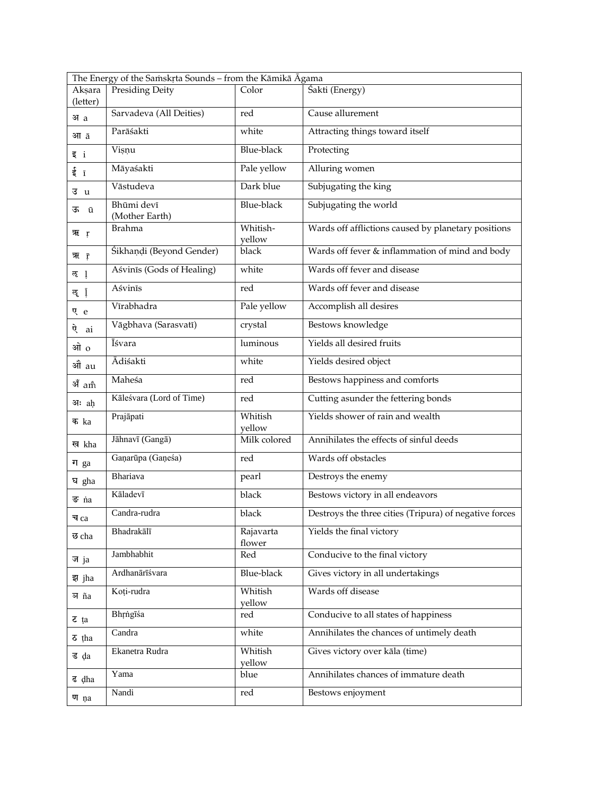| The Energy of the Samskrta Sounds - from the Kāmikā Āgama |                              |                     |                                                        |  |  |
|-----------------------------------------------------------|------------------------------|---------------------|--------------------------------------------------------|--|--|
| Aksara<br>(letter)                                        | <b>Presiding Deity</b>       | Color               | Śakti (Energy)                                         |  |  |
| अa                                                        | Sarvadeva (All Deities)      | red                 | Cause allurement                                       |  |  |
| आ ā                                                       | Parāśakti                    | white               | Attracting things toward itself                        |  |  |
| इां                                                       | Visnu                        | <b>Blue-black</b>   | Protecting                                             |  |  |
| ईा                                                        | Māyaśakti                    | Pale yellow         | Alluring women                                         |  |  |
| उu                                                        | Vāstudeva                    | Dark blue           | Subjugating the king                                   |  |  |
| ऊ ū                                                       | Bhūmi devī<br>(Mother Earth) | <b>Blue-black</b>   | Subjugating the world                                  |  |  |
| ऋा <sub>ं</sub>                                           | <b>Brahma</b>                | Whitish-<br>yellow  | Wards off afflictions caused by planetary positions    |  |  |
| ऋ क़                                                      | Śikhaņḍi (Beyond Gender)     | black               | Wards off fever & inflammation of mind and body        |  |  |
| रु 1                                                      | Aśvinīs (Gods of Healing)    | white               | Wards off fever and disease                            |  |  |
| रु 1े़                                                    | Aśvinīs                      | red                 | Wards off fever and disease                            |  |  |
| ए e                                                       | Vīrabhadra                   | Pale yellow         | Accomplish all desires                                 |  |  |
| ऐ<br>ai                                                   | Vāgbhava (Sarasvatī)         | crystal             | Bestows knowledge                                      |  |  |
| ओ ०                                                       | Īśvara                       | luminous            | Yields all desired fruits                              |  |  |
| औे au                                                     | Ādiśakti                     | white               | Yields desired object                                  |  |  |
| अँ am                                                     | Maheśa                       | red                 | Bestows happiness and comforts                         |  |  |
| आः ah                                                     | Kāleśvara (Lord of Time)     | red                 | Cutting asunder the fettering bonds                    |  |  |
| क ka                                                      | Prajāpati                    | Whitish<br>yellow   | Yields shower of rain and wealth                       |  |  |
| ख kha                                                     | Jāhnavī (Gangā)              | Milk colored        | Annihilates the effects of sinful deeds                |  |  |
| ग $ga$                                                    | Gaņarūpa (Gaņeśa)            | red                 | Wards off obstacles                                    |  |  |
| ঘ gha                                                     | Bhariava                     | pearl               | Destroys the enemy                                     |  |  |
| ङ na                                                      | Kāladevī                     | black               | Bestows victory in all endeavors                       |  |  |
| च ca                                                      | Candra-rudra                 | black               | Destroys the three cities (Tripura) of negative forces |  |  |
| छ cha                                                     | Bhadrakālī                   | Rajavarta<br>flower | Yields the final victory                               |  |  |
| ज <sub>ja</sub>                                           | Jambhabhit                   | Red                 | Conducive to the final victory                         |  |  |
| झ jha                                                     | Ardhanārīśvara               | <b>Blue-black</b>   | Gives victory in all undertakings                      |  |  |
| অ ña                                                      | Koți-rudra                   | Whitish<br>yellow   | Wards off disease                                      |  |  |
| $z$ ta                                                    | Bhrngīśa                     | red                 | Conducive to all states of happiness                   |  |  |
| $\delta$ tha                                              | Candra                       | white               | Annihilates the chances of untimely death              |  |  |
| ड da                                                      | Ekanetra Rudra               | Whitish<br>yellow   | Gives victory over kāla (time)                         |  |  |
| ह dha                                                     | Yama                         | blue                | Annihilates chances of immature death                  |  |  |
| ण na                                                      | Nandi                        | red                 | Bestows enjoyment                                      |  |  |